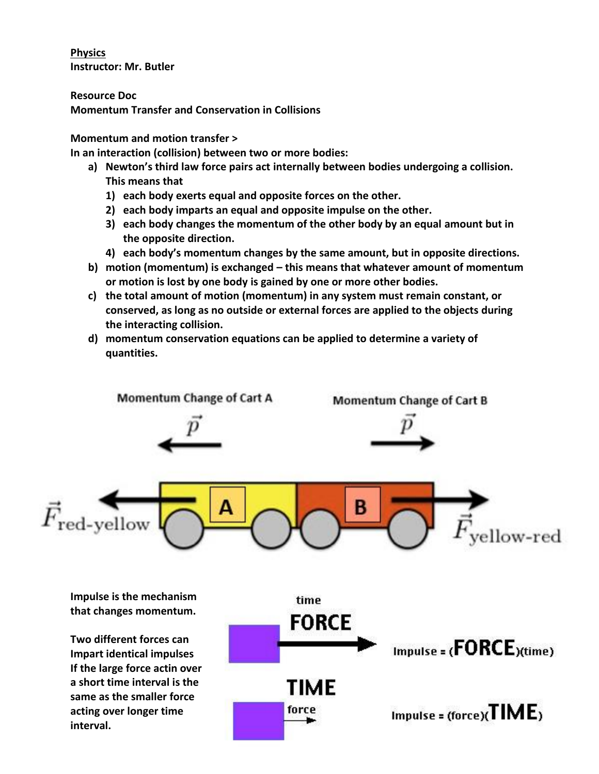**Physics Instructor: Mr. Butler**

**Resource Doc Momentum Transfer and Conservation in Collisions**

## **Momentum and motion transfer >**

**In an interaction (collision) between two or more bodies:**

- **a) Newton's third law force pairs act internally between bodies undergoing a collision. This means that** 
	- **1) each body exerts equal and opposite forces on the other.**
	- **2) each body imparts an equal and opposite impulse on the other.**
	- **3) each body changes the momentum of the other body by an equal amount but in the opposite direction.**
	- **4) each body's momentum changes by the same amount, but in opposite directions.**
- **b) motion (momentum) is exchanged – this means that whatever amount of momentum or motion is lost by one body is gained by one or more other bodies.**
- **c) the total amount of motion (momentum) in any system must remain constant, or conserved, as long as no outside or external forces are applied to the objects during the interacting collision.**
- **d) momentum conservation equations can be applied to determine a variety of quantities.**

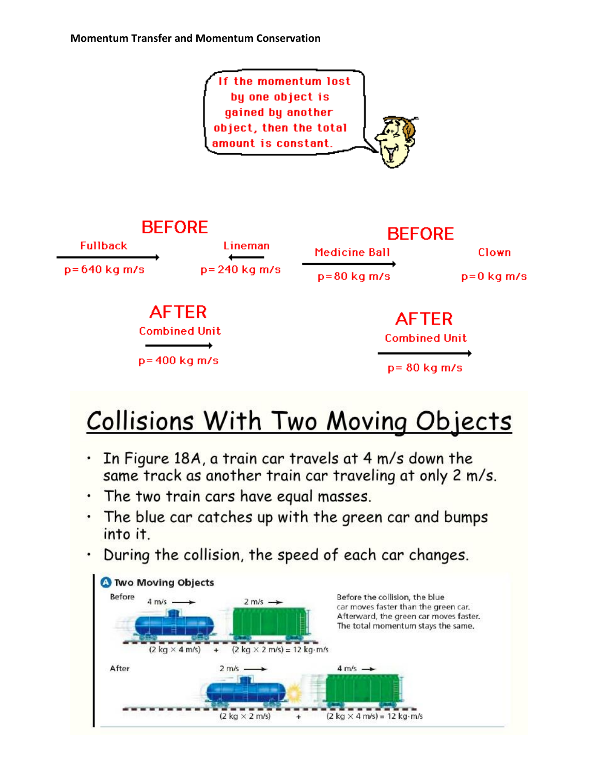

## **Collisions With Two Moving Objects**

- In Figure 18A, a train car travels at 4 m/s down the same track as another train car traveling at only 2 m/s.
- · The two train cars have equal masses.
- . The blue car catches up with the green car and bumps into it.
- $\cdot$  During the collision, the speed of each car changes.